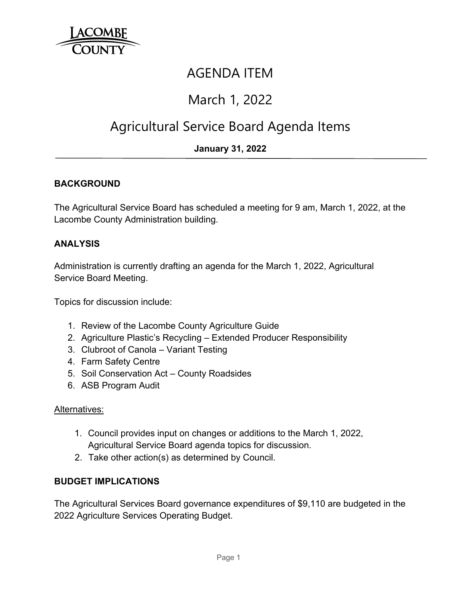

### AGENDA ITEM

# March 1, 2022

# Agricultural Service Board Agenda Items

### **January 31, 2022**

#### **BACKGROUND**

The Agricultural Service Board has scheduled a meeting for 9 am, March 1, 2022, at the Lacombe County Administration building.

#### **ANALYSIS**

Administration is currently drafting an agenda for the March 1, 2022, Agricultural Service Board Meeting.

Topics for discussion include:

- 1. Review of the Lacombe County Agriculture Guide
- 2. Agriculture Plastic's Recycling Extended Producer Responsibility
- 3. Clubroot of Canola Variant Testing
- 4. Farm Safety Centre
- 5. Soil Conservation Act County Roadsides
- 6. ASB Program Audit

#### Alternatives:

- 1. Council provides input on changes or additions to the March 1, 2022, Agricultural Service Board agenda topics for discussion.
- 2. Take other action(s) as determined by Council.

#### **BUDGET IMPLICATIONS**

The Agricultural Services Board governance expenditures of \$9,110 are budgeted in the 2022 Agriculture Services Operating Budget.